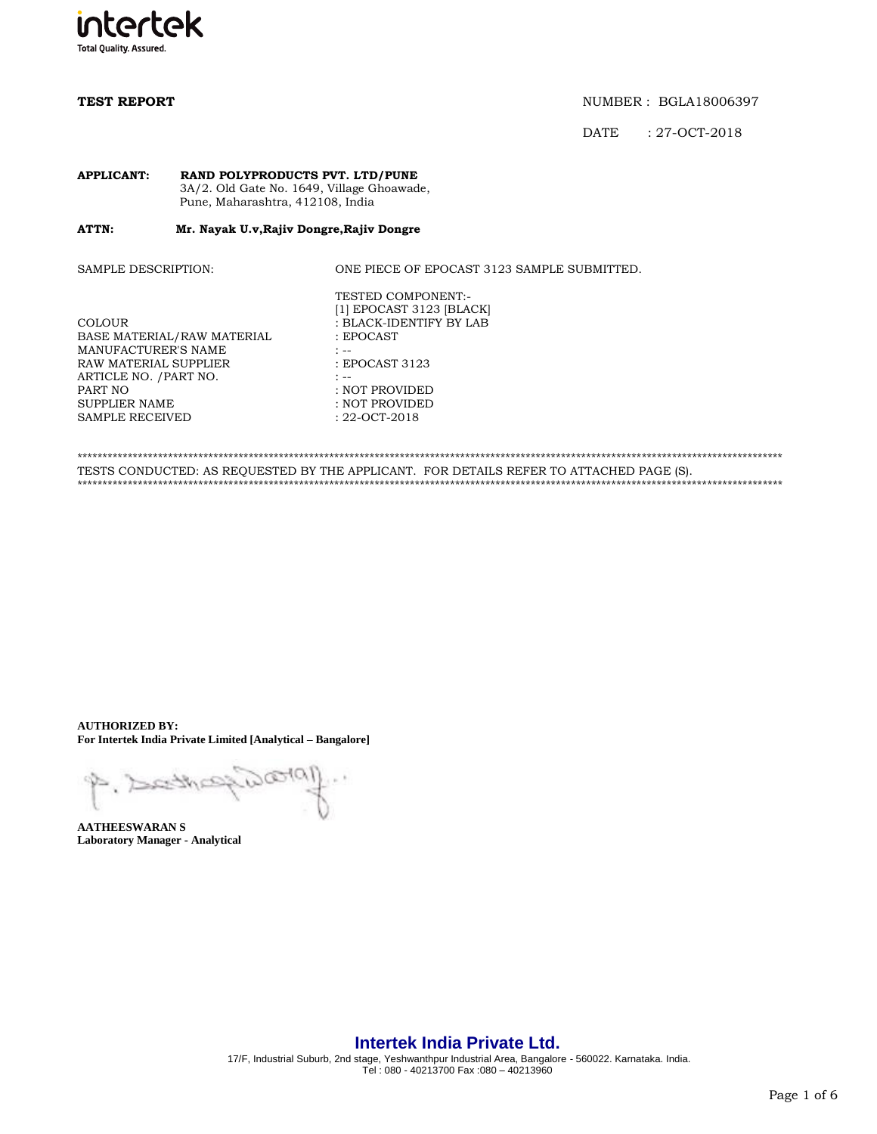

DATE : 27-OCT-2018

### **APPLICANT: RAND POLYPRODUCTS PVT. LTD/PUNE** 3A/2. Old Gate No. 1649, Village Ghoawade, Pune, Maharashtra, 412108, India

### ATTN: **ATTN: Mr. Nayak U.v,Rajiv Dongre,Rajiv Dongre**

SAMPLE DESCRIPTION: ONE PIECE OF EPOCAST 3123 SAMPLE SUBMITTED.

| <b>COLOUR</b>              | $\, : \, \mathbf{B}$ |
|----------------------------|----------------------|
| BASE MATERIAL/RAW MATERIAL | : E                  |
| MANUFACTURER'S NAME        | $: - -$              |
| RAW MATERIAL SUPPLIER      | : E                  |
| ARTICLE NO. / PART NO.     | : --                 |
| PART NO                    | : N                  |
| <b>SUPPLIER NAME</b>       | $\cdot$ N            |
| <b>SAMPLE RECEIVED</b>     | : 22                 |

TESTED COMPONENT:- [1] EPOCAST 3123 [BLACK] : BLACK-IDENTIFY BY LAB : EPOCAST : EPOCAST 3123 : NOT PROVIDED : NOT PROVIDED : 22-OCT-2018

\*\*\*\*\*\*\*\*\*\*\*\*\*\*\*\*\*\*\*\*\*\*\*\*\*\*\*\*\*\*\*\*\*\*\*\*\*\*\*\*\*\*\*\*\*\*\*\*\*\*\*\*\*\*\*\*\*\*\*\*\*\*\*\*\*\*\*\*\*\*\*\*\*\*\*\*\*\*\*\*\*\*\*\*\*\*\*\*\*\*\*\*\*\*\*\*\*\*\*\*\*\*\*\*\*\*\*\*\*\*\*\*\*\*\*\*\*\*\*\*\*\*\*\*\*\*\*\*\*\*\*\*\*\*\*\*\*\*\*\* TESTS CONDUCTED: AS REQUESTED BY THE APPLICANT. FOR DETAILS REFER TO ATTACHED PAGE (S). \*\*\*\*\*\*\*\*\*\*\*\*\*\*\*\*\*\*\*\*\*\*\*\*\*\*\*\*\*\*\*\*\*\*\*\*\*\*\*\*\*\*\*\*\*\*\*\*\*\*\*\*\*\*\*\*\*\*\*\*\*\*\*\*\*\*\*\*\*\*\*\*\*\*\*\*\*\*\*\*\*\*\*\*\*\*\*\*\*\*\*\*\*\*\*\*\*\*\*\*\*\*\*\*\*\*\*\*\*\*\*\*\*\*\*\*\*\*\*\*\*\*\*\*\*\*\*\*\*\*\*\*\*\*\*\*\*\*\*\*

**AUTHORIZED BY: For Intertek India Private Limited [Analytical – Bangalore]**

 $D@401$ P. Dethe

**AATHEESWARAN S Laboratory Manager - Analytical**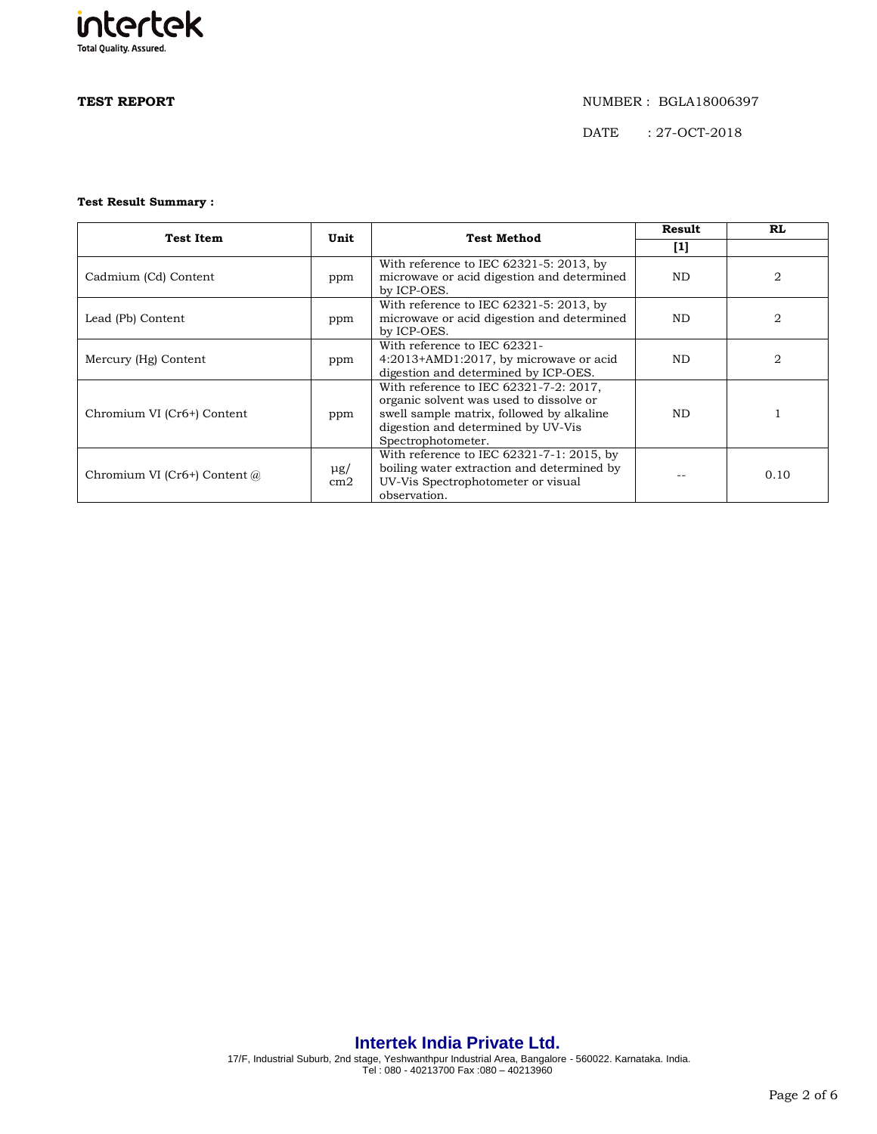# intertek **Total Quality. Assured.**

### **TEST REPORT** NUMBER : BGLA18006397

DATE : 27-OCT-2018

## **Test Result Summary :**

| <b>Test Item</b>               | Unit            | <b>Test Method</b>                                                                                                                                                                         | Result | RL.                    |
|--------------------------------|-----------------|--------------------------------------------------------------------------------------------------------------------------------------------------------------------------------------------|--------|------------------------|
|                                |                 |                                                                                                                                                                                            | $[1]$  |                        |
| Cadmium (Cd) Content           | ppm             | With reference to IEC $62321 - 5$ : 2013, by<br>microwave or acid digestion and determined<br>by ICP-OES.                                                                                  | ND.    | $\mathfrak{D}_{\cdot}$ |
| Lead (Pb) Content              | ppm             | With reference to IEC 62321-5: 2013, by<br>microwave or acid digestion and determined<br>by ICP-OES.                                                                                       | ND.    |                        |
| Mercury (Hg) Content           | ppm             | With reference to IEC 62321-<br>4:2013+AMD1:2017, by microwave or acid<br>digestion and determined by ICP-OES.                                                                             | ND.    | 2                      |
| Chromium VI (Cr6+) Content     | ppm             | With reference to IEC 62321-7-2: 2017,<br>organic solvent was used to dissolve or<br>swell sample matrix, followed by alkaline<br>digestion and determined by UV-Vis<br>Spectrophotometer. | ND.    |                        |
| Chromium VI (Cr6+) Content $@$ | $\mu$ g/<br>cm2 | With reference to IEC 62321-7-1: 2015, by<br>boiling water extraction and determined by<br>UV-Vis Spectrophotometer or visual<br>observation.                                              |        | 0.10                   |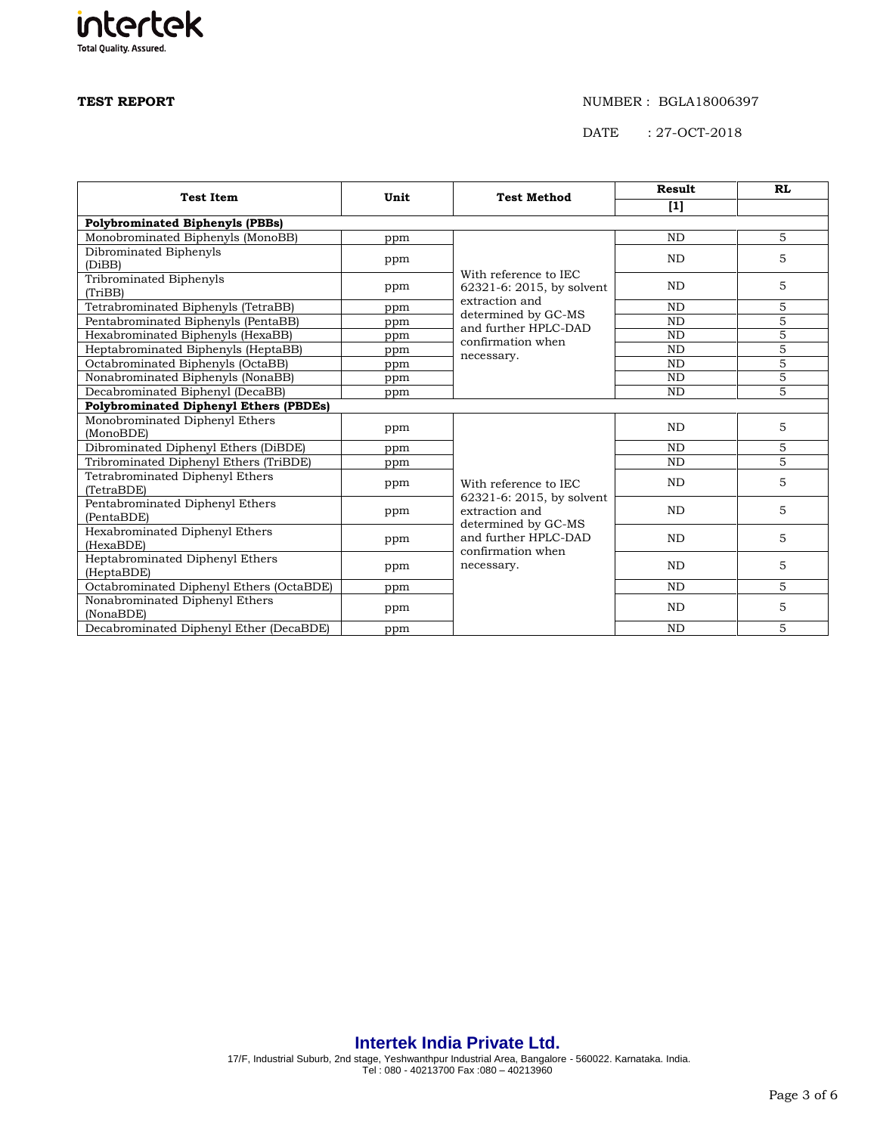# intertek **Total Quality. Assured.**

### **TEST REPORT** NUMBER : BGLA18006397

DATE : 27-OCT-2018

| <b>Test Item</b>                              | Unit | <b>Test Method</b>                          | Result         | <b>RL</b>      |
|-----------------------------------------------|------|---------------------------------------------|----------------|----------------|
|                                               |      |                                             | $[1]$          |                |
| <b>Polybrominated Biphenyls (PBBs)</b>        |      |                                             |                |                |
| Monobrominated Biphenyls (MonoBB)             | ppm  |                                             | <b>ND</b>      | 5              |
| Dibrominated Biphenyls                        | ppm  |                                             | N <sub>D</sub> | 5              |
| (DiBB)                                        |      | With reference to IEC                       |                |                |
| Tribrominated Biphenyls                       | ppm  | 62321-6: 2015, by solvent                   | <b>ND</b>      | 5              |
| (TriBB)                                       |      | extraction and                              |                |                |
| Tetrabrominated Biphenyls (TetraBB)           | ppm  | determined by GC-MS                         | <b>ND</b>      | 5              |
| Pentabrominated Biphenyls (PentaBB)           | ppm  | and further HPLC-DAD                        | <b>ND</b>      | $\overline{5}$ |
| Hexabrominated Biphenyls (HexaBB)             | ppm  | confirmation when                           | <b>ND</b>      | $\overline{5}$ |
| Heptabrominated Biphenyls (HeptaBB)           | ppm  | necessary.                                  | <b>ND</b>      | 5              |
| Octabrominated Biphenyls (OctaBB)             | ppm  |                                             | <b>ND</b>      | $\overline{5}$ |
| Nonabrominated Biphenyls (NonaBB)             | ppm  |                                             |                | $\overline{5}$ |
| Decabrominated Biphenyl (DecaBB)              | ppm  |                                             | <b>ND</b>      | 5              |
| <b>Polybrominated Diphenyl Ethers (PBDEs)</b> |      |                                             |                |                |
| Monobrominated Diphenyl Ethers                |      |                                             | <b>ND</b>      | 5              |
| (MonoBDE)                                     | ppm  |                                             |                |                |
| Dibrominated Diphenyl Ethers (DiBDE)          | ppm  | With reference to IEC                       | <b>ND</b>      | 5              |
| Tribrominated Diphenyl Ethers (TriBDE)        | ppm  |                                             | <b>ND</b>      | $\overline{5}$ |
| Tetrabrominated Diphenyl Ethers               | ppm  |                                             | <b>ND</b>      | 5              |
| (TetraBDE)                                    |      |                                             |                |                |
| Pentabrominated Diphenyl Ethers               | ppm  | 62321-6: 2015, by solvent<br>extraction and | <b>ND</b>      | 5              |
| (PentaBDE)                                    |      | determined by GC-MS                         |                |                |
| Hexabrominated Diphenyl Ethers                | ppm  | and further HPLC-DAD                        | N <sub>D</sub> | 5              |
| (HexaBDE)                                     |      | confirmation when<br>necessary.             |                |                |
| Heptabrominated Diphenyl Ethers               | ppm  |                                             | <b>ND</b>      | 5              |
| (HeptaBDE)                                    |      |                                             |                |                |
| Octabrominated Diphenyl Ethers (OctaBDE)      | ppm  | <b>ND</b>                                   |                | 5              |
| Nonabrominated Diphenyl Ethers                | ppm  |                                             | <b>ND</b>      | 5              |
| (NonaBDE)                                     |      |                                             |                |                |
| Decabrominated Diphenyl Ether (DecaBDE)       | ppm  |                                             | <b>ND</b>      | 5              |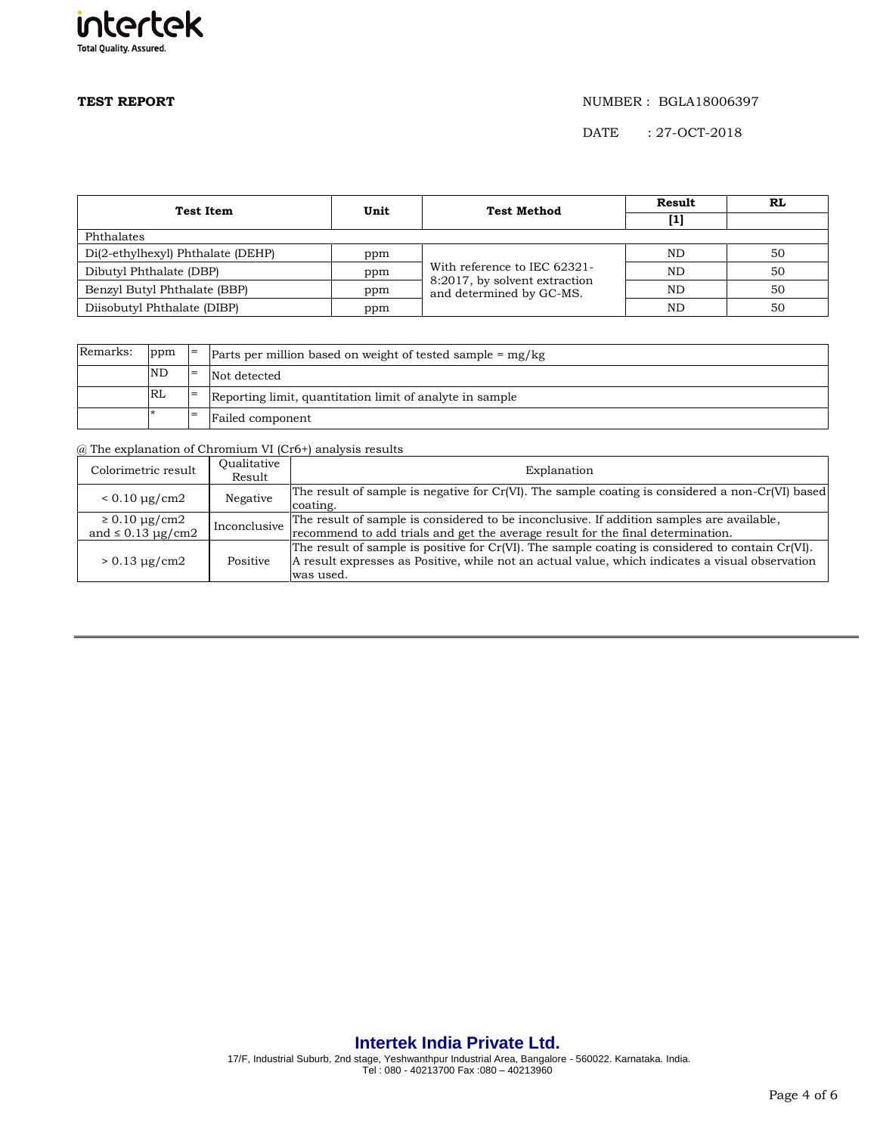

DATE : 27-OCT-2018

| Test Item                         | <b>Test Method</b><br>Unit | Result                                                                                    | RL  |    |  |
|-----------------------------------|----------------------------|-------------------------------------------------------------------------------------------|-----|----|--|
|                                   |                            |                                                                                           | [1] |    |  |
| Phthalates                        |                            |                                                                                           |     |    |  |
| Di(2-ethylhexyl) Phthalate (DEHP) | ppm                        | With reference to IEC 62321-<br>8:2017, by solvent extraction<br>and determined by GC-MS. | ND  | 50 |  |
| Dibutyl Phthalate (DBP)           | ppm                        |                                                                                           | ND. | 50 |  |
| Benzyl Butyl Phthalate (BBP)      | ppm                        |                                                                                           | ND  | 50 |  |
| Diisobutyl Phthalate (DIBP)       | ppm                        |                                                                                           | ND  | 50 |  |

| Remarks: | ppm       | $=$ | Parts per million based on weight of tested sample $=$ mg/kg |
|----------|-----------|-----|--------------------------------------------------------------|
|          | <b>ND</b> | $=$ | Not detected                                                 |
|          | RL        |     | Reporting limit, quantitation limit of analyte in sample     |
|          |           | $=$ | <b>Failed component</b>                                      |

@ The explanation of Chromium VI (Cr6+) analysis results

| Colorimetric result                                | Oualitative<br>Result | Explanation                                                                                                                                                                                                      |
|----------------------------------------------------|-----------------------|------------------------------------------------------------------------------------------------------------------------------------------------------------------------------------------------------------------|
| $< 0.10 \mu g/cm2$                                 | Negative              | The result of sample is negative for $Cr(VI)$ . The sample coating is considered a non- $Cr(VI)$ based<br>coating.                                                                                               |
| $\geq 0.10 \mu g/cm2$<br>and $\leq 0.13 \mu$ g/cm2 | Inconclusive          | The result of sample is considered to be inconclusive. If addition samples are available,<br>recommend to add trials and get the average result for the final determination.                                     |
| $> 0.13 \mu g/cm2$                                 | Positive              | The result of sample is positive for Cr(VI). The sample coating is considered to contain Cr(VI).<br>A result expresses as Positive, while not an actual value, which indicates a visual observation<br>was used. |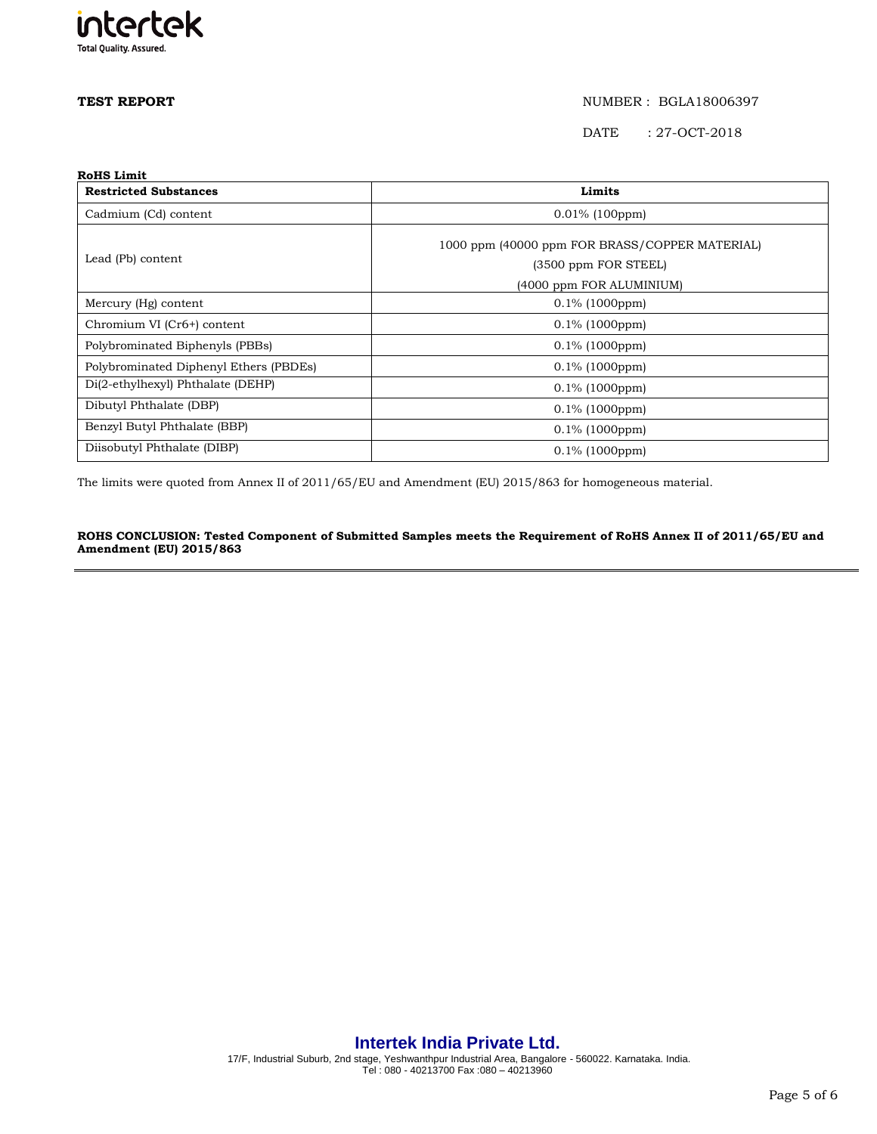

DATE : 27-OCT-2018

| <b>RoHS Limit</b>                      |                                                |  |  |
|----------------------------------------|------------------------------------------------|--|--|
| <b>Restricted Substances</b>           | Limits                                         |  |  |
| Cadmium (Cd) content                   | $0.01\%$ (100ppm)                              |  |  |
|                                        | 1000 ppm (40000 ppm FOR BRASS/COPPER MATERIAL) |  |  |
| Lead (Pb) content                      | (3500 ppm FOR STEEL)                           |  |  |
|                                        | (4000 ppm FOR ALUMINIUM)                       |  |  |
| Mercury (Hg) content                   | $0.1\%$ (1000ppm)                              |  |  |
| Chromium VI (Cr6+) content             | $0.1\%$ (1000ppm)                              |  |  |
| Polybrominated Biphenyls (PBBs)        | $0.1\%$ (1000ppm)                              |  |  |
| Polybrominated Diphenyl Ethers (PBDEs) | $0.1\%$ (1000ppm)                              |  |  |
| Di(2-ethylhexyl) Phthalate (DEHP)      | $0.1\%$ (1000ppm)                              |  |  |
| Dibutyl Phthalate (DBP)                | $0.1\%$ (1000ppm)                              |  |  |
| Benzyl Butyl Phthalate (BBP)           | $0.1\%$ (1000ppm)                              |  |  |
| Diisobutyl Phthalate (DIBP)            | $0.1\%$ (1000ppm)                              |  |  |

The limits were quoted from Annex II of 2011/65/EU and Amendment (EU) 2015/863 for homogeneous material.

### **ROHS CONCLUSION: Tested Component of Submitted Samples meets the Requirement of RoHS Annex II of 2011/65/EU and Amendment (EU) 2015/863**